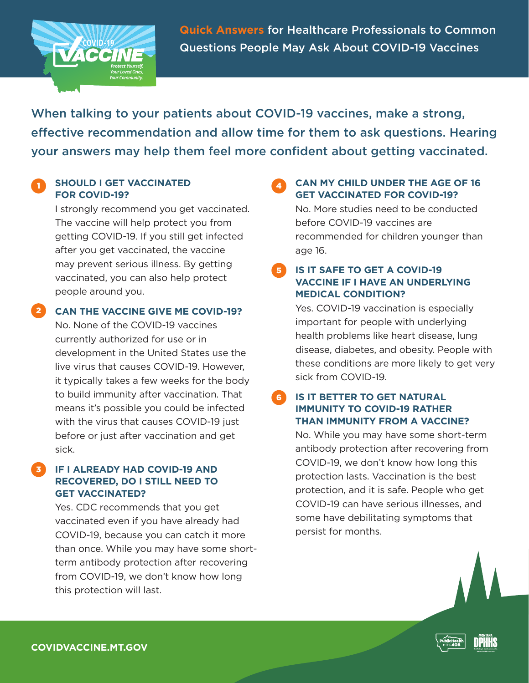

**Quick Answers** for Healthcare Professionals to Common Questions People May Ask About COVID-19 Vaccines

When talking to your patients about COVID-19 vaccines, make a strong, effective recommendation and allow time for them to ask questions. Hearing your answers may help them feel more confident about getting vaccinated.

### **SHOULD I GET VACCINATED FOR COVID-19?**

I strongly recommend you get vaccinated. The vaccine will help protect you from getting COVID-19. If you still get infected after you get vaccinated, the vaccine may prevent serious illness. By getting vaccinated, you can also help protect people around you.

**CAN THE VACCINE GIVE ME COVID-19?** 2

No. None of the COVID-19 vaccines currently authorized for use or in development in the United States use the live virus that causes COVID-19. However, it typically takes a few weeks for the body to build immunity after vaccination. That means it's possible you could be infected with the virus that causes COVID-19 just before or just after vaccination and get sick.

#### **IF I ALREADY HAD COVID-19 AND RECOVERED, DO I STILL NEED TO GET VACCINATED?** 3

Yes. CDC recommends that you get vaccinated even if you have already had COVID-19, because you can catch it more than once. While you may have some shortterm antibody protection after recovering from COVID-19, we don't know how long this protection will last.

# **CAN MY CHILD UNDER THE AGE OF 16 GET VACCINATED FOR COVID-19?**

No. More studies need to be conducted before COVID-19 vaccines are recommended for children younger than age 16.

#### **IS IT SAFE TO GET A COVID-19 VACCINE IF I HAVE AN UNDERLYING MEDICAL CONDITION?** 5

Yes. COVID-19 vaccination is especially important for people with underlying health problems like heart disease, lung disease, diabetes, and obesity. People with these conditions are more likely to get very sick from COVID-19.

#### **IS IT BETTER TO GET NATURAL IMMUNITY TO COVID-19 RATHER THAN IMMUNITY FROM A VACCINE?** 6

No. While you may have some short-term antibody protection after recovering from COVID-19, we don't know how long this protection lasts. Vaccination is the best protection, and it is safe. People who get COVID-19 can have serious illnesses, and some have debilitating symptoms that persist for months.

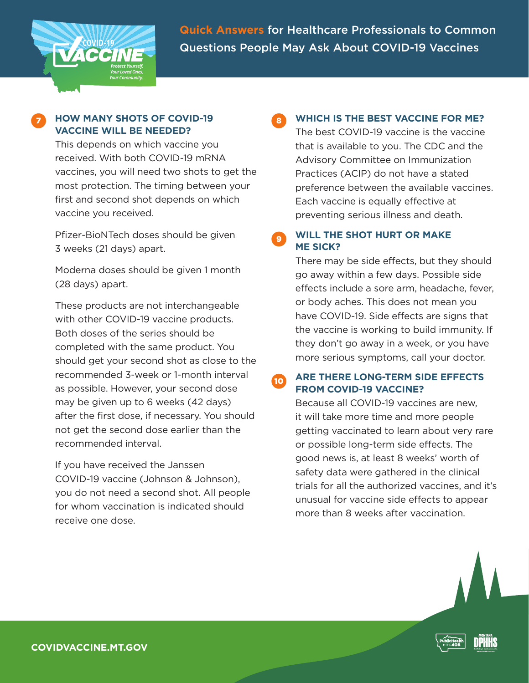

**Quick Answers** for Healthcare Professionals to Common Questions People May Ask About COVID-19 Vaccines

### **HOW MANY SHOTS OF COVID-19 VACCINE WILL BE NEEDED?**

This depends on which vaccine you received. With both COVID-19 mRNA vaccines, you will need two shots to get the most protection. The timing between your first and second shot depends on which vaccine you received.

Pfizer-BioNTech doses should be given 3 weeks (21 days) apart.

Moderna doses should be given 1 month (28 days) apart.

These products are not interchangeable with other COVID-19 vaccine products. Both doses of the series should be completed with the same product. You should get your second shot as close to the recommended 3-week or 1-month interval as possible. However, your second dose may be given up to 6 weeks (42 days) after the first dose, if necessary. You should not get the second dose earlier than the recommended interval.

If you have received the Janssen COVID-19 vaccine (Johnson & Johnson), you do not need a second shot. All people for whom vaccination is indicated should receive one dose.

# **WHICH IS THE BEST VACCINE FOR ME?**

The best COVID-19 vaccine is the vaccine that is available to you. The CDC and the Advisory Committee on Immunization Practices (ACIP) do not have a stated preference between the available vaccines. Each vaccine is equally effective at preventing serious illness and death.

**WILL THE SHOT HURT OR MAKE ME SICK?** 9

> There may be side effects, but they should go away within a few days. Possible side effects include a sore arm, headache, fever, or body aches. This does not mean you have COVID-19. Side effects are signs that the vaccine is working to build immunity. If they don't go away in a week, or you have more serious symptoms, call your doctor.

#### **ARE THERE LONG-TERM SIDE EFFECTS FROM COVID-19 VACCINE?** 10

Because all COVID-19 vaccines are new, it will take more time and more people getting vaccinated to learn about very rare or possible long-term side effects. The good news is, at least 8 weeks' worth of safety data were gathered in the clinical trials for all the authorized vaccines, and it's unusual for vaccine side effects to appear more than 8 weeks after vaccination.